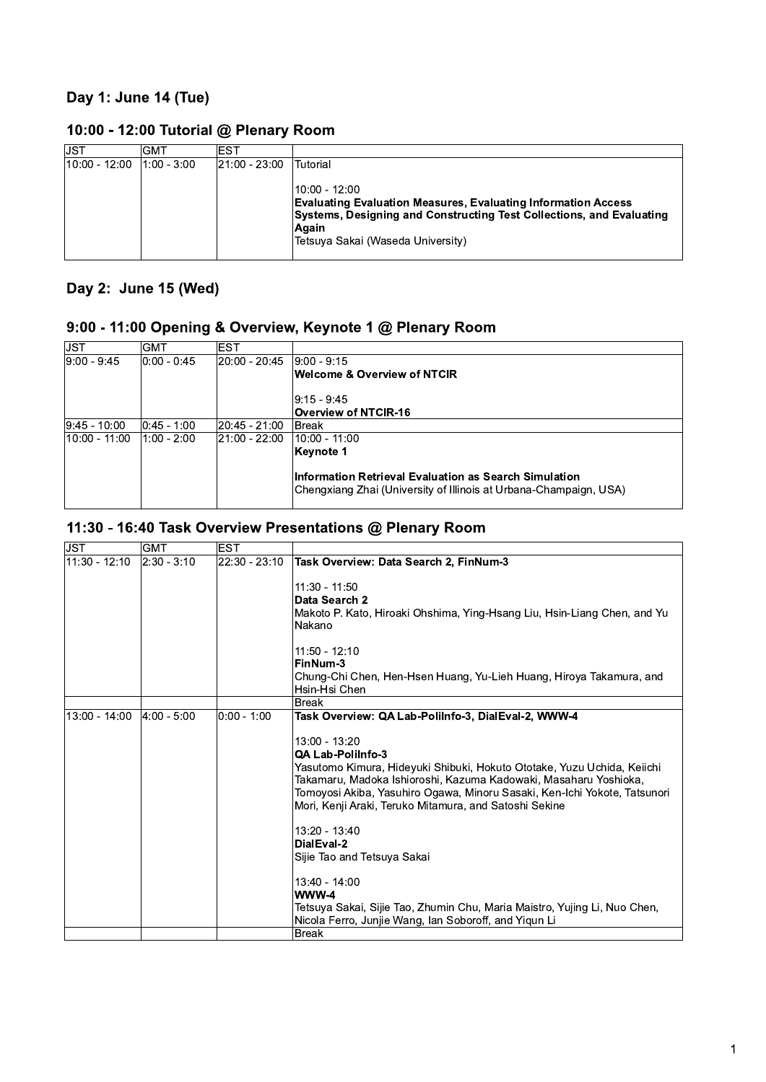## Day 1: June 14 (Tue)

| JST           | GMT         | EST           |                                                                                                                                                                                     |
|---------------|-------------|---------------|-------------------------------------------------------------------------------------------------------------------------------------------------------------------------------------|
| 10:00 - 12:00 | 1:00 - 3:00 | 21:00 - 23:00 | Tutorial<br>10:00 - 12:00<br><b>Evaluating Evaluation Measures, Evaluating Information Access</b><br>Systems, Designing and Constructing Test Collections, and Evaluating<br>∣Aqain |
|               |             |               | Tetsuya Sakai (Waseda University)                                                                                                                                                   |

## 10:00 - 12:00 Tutorial @ Plenary Room

#### Day 2: June 15 (Wed)

## 9:00 - 11:00 Opening & Overview, Keynote 1 @ Plenary Room

| <b>JST</b>        | <b>GMT</b>      | <b>EST</b>    |                                                                                                                            |
|-------------------|-----------------|---------------|----------------------------------------------------------------------------------------------------------------------------|
| $ 9:00 - 9:45 $   | $ 0:00 - 0:45 $ | 20:00 - 20:45 | $ 9:00 - 9:15 $                                                                                                            |
|                   |                 |               | <b>Welcome &amp; Overview of NTCIR</b>                                                                                     |
|                   |                 |               | $ 9:15 - 9:45 $                                                                                                            |
|                   |                 |               | <b>Overview of NTCIR-16</b>                                                                                                |
| $ 9:45 - 10:00 $  | $ 0:45 - 1:00$  | 20:45 - 21:00 | lBreak∶                                                                                                                    |
| $ 10:00 - 11:00 $ | $1:00 - 2:00$   | 21:00 - 22:00 | 10:00 - 11:00                                                                                                              |
|                   |                 |               | Keynote 1                                                                                                                  |
|                   |                 |               | Information Retrieval Evaluation as Search Simulation<br>Chengxiang Zhai (University of Illinois at Urbana-Champaign, USA) |

#### 11:30 - 16:40 Task Overview Presentations @ Plenary Room

| 11:30 - 12:10   | 2:30 - 3:10    | 22:30 - 23:10 |                                                                                                                                                                                                                                                                                                                                                                                                                                                                                                                                                      |
|-----------------|----------------|---------------|------------------------------------------------------------------------------------------------------------------------------------------------------------------------------------------------------------------------------------------------------------------------------------------------------------------------------------------------------------------------------------------------------------------------------------------------------------------------------------------------------------------------------------------------------|
|                 |                |               | Task Overview: Data Search 2, FinNum-3<br>$11:30 - 11:50$<br>Data Search 2<br>Makoto P. Kato, Hiroaki Ohshima, Ying-Hsang Liu, Hsin-Liang Chen, and Yu<br>Nakano<br>$11:50 - 12:10$<br>FinNum-3<br>Chung-Chi Chen, Hen-Hsen Huang, Yu-Lieh Huang, Hiroya Takamura, and<br>Hsin-Hsi Chen                                                                                                                                                                                                                                                              |
|                 |                |               | <b>Break</b>                                                                                                                                                                                                                                                                                                                                                                                                                                                                                                                                         |
| $13:00 - 14:00$ | $ 4:00 - 5:00$ | 0:00 - 1:00   | Task Overview: QA Lab-PoliInfo-3, DialEval-2, WWW-4<br>13:00 - 13:20<br>QA Lab-PoliInfo-3<br>Yasutomo Kimura, Hideyuki Shibuki, Hokuto Ototake, Yuzu Uchida, Keiichi<br>Takamaru, Madoka Ishioroshi, Kazuma Kadowaki, Masaharu Yoshioka,<br>Tomoyosi Akiba, Yasuhiro Ogawa, Minoru Sasaki, Ken-Ichi Yokote, Tatsunori<br>Mori, Kenji Araki, Teruko Mitamura, and Satoshi Sekine<br>13:20 - 13:40<br>DialEval-2<br>Sijie Tao and Tetsuya Sakai<br>13:40 - 14:00<br>WWW-4<br>Tetsuya Sakai, Sijie Tao, Zhumin Chu, Maria Maistro, Yujing Li, Nuo Chen, |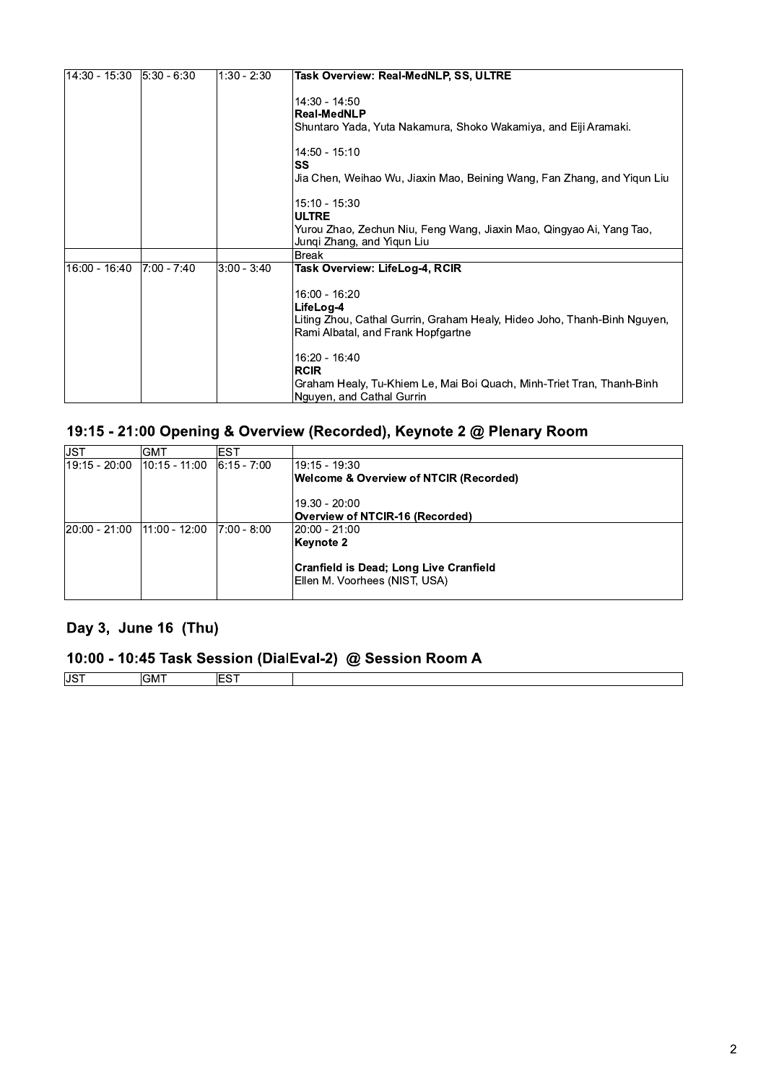| 14:30 - 15:30   | $ 5:30 - 6:30 $ | $1:30 - 2:30$ | <b>Task Overview: Real-MedNLP, SS, ULTRE</b>                                                                                                                  |
|-----------------|-----------------|---------------|---------------------------------------------------------------------------------------------------------------------------------------------------------------|
|                 |                 |               | 14:30 - 14:50<br><b>Real-MedNLP</b><br>Shuntaro Yada, Yuta Nakamura, Shoko Wakamiya, and Eiji Aramaki.                                                        |
|                 |                 |               | 14:50 - 15:10<br>SS<br>Jia Chen, Weihao Wu, Jiaxin Mao, Beining Wang, Fan Zhang, and Yiqun Liu                                                                |
|                 |                 |               | 15:10 - 15:30<br><b>ULTRE</b><br>Yurou Zhao, Zechun Niu, Feng Wang, Jiaxin Mao, Qingyao Ai, Yang Tao,<br>Jungi Zhang, and Yigun Liu                           |
|                 |                 |               | <b>Break</b>                                                                                                                                                  |
| $16:00 - 16:40$ | 7:00 - 7:40     | 3:00 - 3:40   | Task Overview: LifeLog-4, RCIR                                                                                                                                |
|                 |                 |               | 16:00 - 16:20<br>LifeLog-4<br>Liting Zhou, Cathal Gurrin, Graham Healy, Hideo Joho, Thanh-Binh Nguyen,<br>Rami Albatal, and Frank Hopfgartne<br>16:20 - 16:40 |
|                 |                 |               | <b>RCIR</b><br>Graham Healy, Tu-Khiem Le, Mai Boi Quach, Minh-Triet Tran, Thanh-Binh<br>Nguyen, and Cathal Gurrin                                             |

## 19:15 - 21:00 Opening & Overview (Recorded), Keynote 2 @ Plenary Room

| IJST          | <b>GMT</b>      | EST             |                                                                                |
|---------------|-----------------|-----------------|--------------------------------------------------------------------------------|
| 19:15 - 20:00 | $10:15 - 11:00$ | $ 6:15 - 7:00 $ | 19:15 - 19:30                                                                  |
|               |                 |                 | Welcome & Overview of NTCIR (Recorded)                                         |
|               |                 |                 | 19.30 - 20:00                                                                  |
|               |                 |                 | Overview of NTCIR-16 (Recorded)                                                |
| 20:00 - 21:00 | $11:00 - 12:00$ | 7:00 - 8:00     | $ 20:00 - 21:00 $                                                              |
|               |                 |                 | Keynote 2                                                                      |
|               |                 |                 | <b>Cranfield is Dead; Long Live Cranfield</b><br>Ellen M. Voorhees (NIST, USA) |
|               |                 |                 |                                                                                |

### Day 3, June 16 (Thu)

# 10:00 - 10:45 Task Session (DialEval-2) @ Session Room A

| <sub>i</sub> JS™ | <b>A 87</b><br>$\sim$<br>GM⊺ | --- |  |
|------------------|------------------------------|-----|--|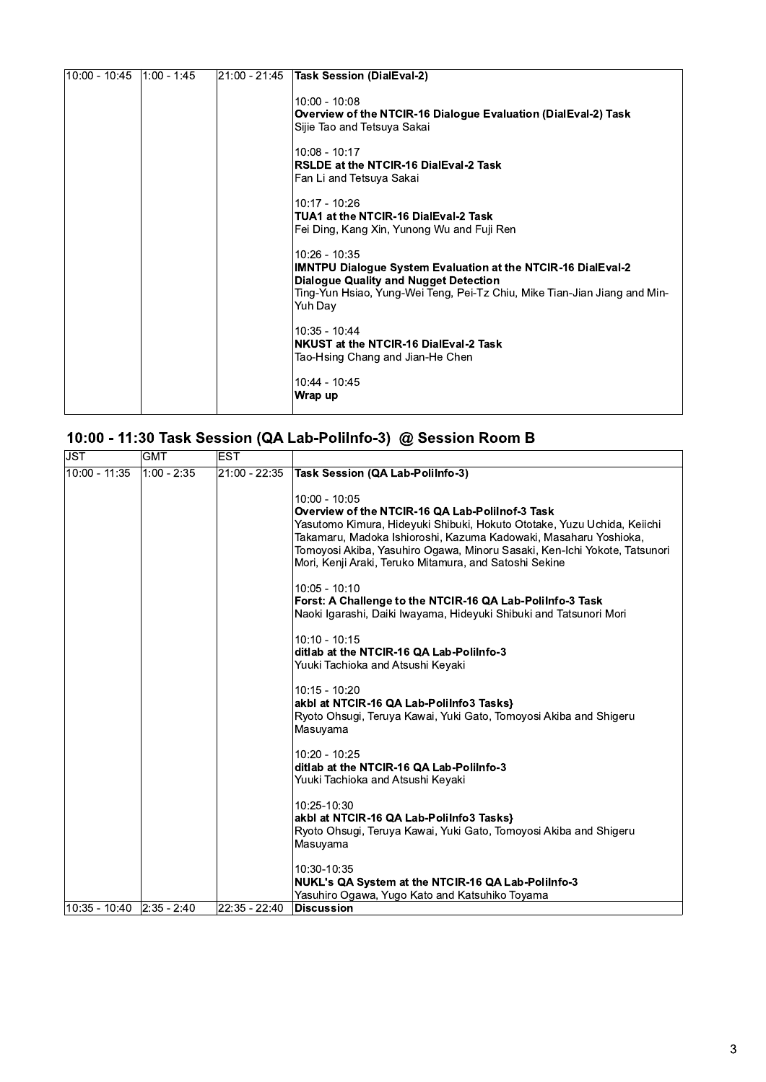| $10:00 - 10:45$   1:00 - 1:45 | 21:00 - 21:45 | <b>Task Session (DialEval-2)</b>                                                                                                                                                                                             |
|-------------------------------|---------------|------------------------------------------------------------------------------------------------------------------------------------------------------------------------------------------------------------------------------|
|                               |               | $10:00 - 10:08$<br>Overview of the NTCIR-16 Dialogue Evaluation (DialEval-2) Task<br>Sijie Tao and Tetsuya Sakai                                                                                                             |
|                               |               | $10:08 - 10:17$<br>RSLDE at the NTCIR-16 DialEval-2 Task<br> Fan Li and Tetsuya Sakai                                                                                                                                        |
|                               |               | $10:17 - 10:26$<br>TUA1 at the NTCIR-16 DialEval-2 Task<br>Fei Ding, Kang Xin, Yunong Wu and Fuji Ren                                                                                                                        |
|                               |               | 10:26 - 10:35<br><b>IMNTPU Dialogue System Evaluation at the NTCIR-16 DialEval-2</b><br><b>Dialogue Quality and Nugget Detection</b><br>Ting-Yun Hsiao, Yung-Wei Teng, Pei-Tz Chiu, Mike Tian-Jian Jiang and Min-<br>Yuh Day |
|                               |               | 10:35 - 10:44<br>NKUST at the NTCIR-16 DialEval-2 Task<br>Tao-Hsing Chang and Jian-He Chen                                                                                                                                   |
|                               |               | 10:44 - 10:45<br>Wrap up                                                                                                                                                                                                     |

| <b>JST</b>    | <b>GMT</b>     | <b>EST</b>    |                                                                                                                                                                                                                                                                                                                                                                                                                                                                                                                                                                                                                                 |
|---------------|----------------|---------------|---------------------------------------------------------------------------------------------------------------------------------------------------------------------------------------------------------------------------------------------------------------------------------------------------------------------------------------------------------------------------------------------------------------------------------------------------------------------------------------------------------------------------------------------------------------------------------------------------------------------------------|
| 10:00 - 11:35 | $1:00 - 2:35$  | 21:00 - 22:35 | <b>Task Session (QA Lab-PoliInfo-3)</b>                                                                                                                                                                                                                                                                                                                                                                                                                                                                                                                                                                                         |
|               |                |               | 10:00 - 10:05<br>Overview of the NTCIR-16 QA Lab-Polilnof-3 Task<br>Yasutomo Kimura, Hideyuki Shibuki, Hokuto Ototake, Yuzu Uchida, Keiichi<br>Takamaru, Madoka Ishioroshi, Kazuma Kadowaki, Masaharu Yoshioka,<br>Tomoyosi Akiba, Yasuhiro Ogawa, Minoru Sasaki, Ken-Ichi Yokote, Tatsunori<br>Mori, Kenji Araki, Teruko Mitamura, and Satoshi Sekine<br>10:05 - 10:10<br>Forst: A Challenge to the NTCIR-16 QA Lab-PoliInfo-3 Task<br>Naoki Igarashi, Daiki Iwayama, Hideyuki Shibuki and Tatsunori Mori<br>$10:10 - 10:15$<br>ditlab at the NTCIR-16 QA Lab-PoliInfo-3<br>Yuuki Tachioka and Atsushi Keyaki<br>10:15 - 10:20 |
|               |                |               | akbl at NTCIR-16 QA Lab-PoliInfo3 Tasks}<br>Ryoto Ohsugi, Teruya Kawai, Yuki Gato, Tomoyosi Akiba and Shigeru<br>Masuyama<br>10:20 - 10:25<br>ditlab at the NTCIR-16 QA Lab-PoliInfo-3<br>Yuuki Tachioka and Atsushi Keyaki                                                                                                                                                                                                                                                                                                                                                                                                     |
|               |                |               | 10:25-10:30                                                                                                                                                                                                                                                                                                                                                                                                                                                                                                                                                                                                                     |
|               |                |               | akbl at NTCIR-16 QA Lab-PoliInfo3 Tasks}<br>Ryoto Ohsugi, Teruya Kawai, Yuki Gato, Tomoyosi Akiba and Shigeru<br>Masuyama                                                                                                                                                                                                                                                                                                                                                                                                                                                                                                       |
|               |                |               | 10:30-10:35<br>NUKL's QA System at the NTCIR-16 QA Lab-PoliInfo-3                                                                                                                                                                                                                                                                                                                                                                                                                                                                                                                                                               |
| 10:35 - 10:40 | $ 2:35 - 2:40$ | 22:35 - 22:40 | Yasuhiro Ogawa, Yugo Kato and Katsuhiko Toyama<br><b>Discussion</b>                                                                                                                                                                                                                                                                                                                                                                                                                                                                                                                                                             |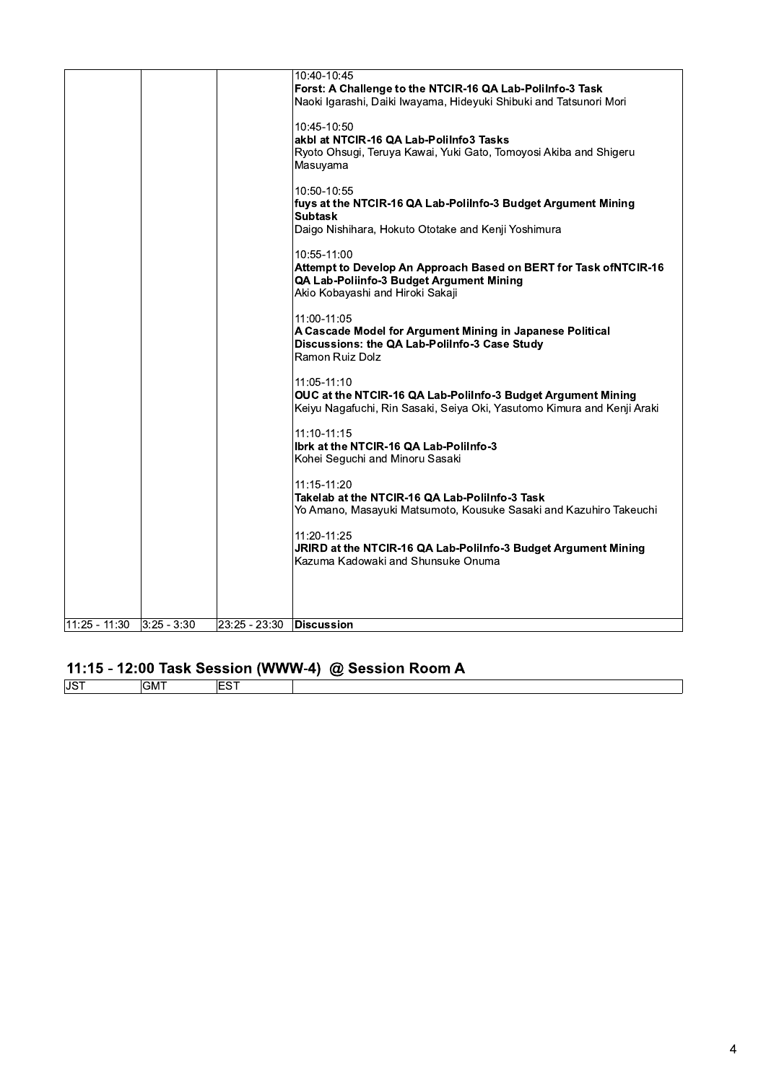| $11:25 - 11:30$ | $ 3:25 - 3:30$ | 23:25 - 23:30 | <b>Discussion</b>                                                                                                                                                                                                                 |
|-----------------|----------------|---------------|-----------------------------------------------------------------------------------------------------------------------------------------------------------------------------------------------------------------------------------|
|                 |                |               | 11:20-11:25<br>JRIRD at the NTCIR-16 QA Lab-PoliInfo-3 Budget Argument Mining<br>Kazuma Kadowaki and Shunsuke Onuma                                                                                                               |
|                 |                |               | $11:10-11:15$<br>Ibrk at the NTCIR-16 QA Lab-PoliInfo-3<br>Kohei Seguchi and Minoru Sasaki<br>11:15-11:20<br>Takelab at the NTCIR-16 QA Lab-PoliInfo-3 Task<br>Yo Amano, Masayuki Matsumoto, Kousuke Sasaki and Kazuhiro Takeuchi |
|                 |                |               | 11:05-11:10<br>OUC at the NTCIR-16 QA Lab-PoliInfo-3 Budget Argument Mining<br>Keiyu Nagafuchi, Rin Sasaki, Seiya Oki, Yasutomo Kimura and Kenji Araki                                                                            |
|                 |                |               | 11:00-11:05<br>A Cascade Model for Argument Mining in Japanese Political<br>Discussions: the QA Lab-PoliInfo-3 Case Study<br>Ramon Ruiz Dolz                                                                                      |
|                 |                |               | 10:55-11:00<br>Attempt to Develop An Approach Based on BERT for Task ofNTCIR-16<br>QA Lab-Poliinfo-3 Budget Argument Mining<br>Akio Kobayashi and Hiroki Sakaji                                                                   |
|                 |                |               | 10:50-10:55<br>fuys at the NTCIR-16 QA Lab-PoliInfo-3 Budget Argument Mining<br><b>Subtask</b><br>Daigo Nishihara, Hokuto Ototake and Kenji Yoshimura                                                                             |
|                 |                |               | 10:45-10:50<br>akbl at NTCIR-16 QA Lab-PoliInfo3 Tasks<br>Ryoto Ohsugi, Teruya Kawai, Yuki Gato, Tomoyosi Akiba and Shigeru<br>Masuyama                                                                                           |
|                 |                |               | 10:40-10:45<br>Forst: A Challenge to the NTCIR-16 QA Lab-PoliInfo-3 Task<br>Naoki Igarashi, Daiki Iwayama, Hideyuki Shibuki and Tatsunori Mori                                                                                    |

## 11:15 - 12:00 Task Session (WWW-4) @ Session Room A

| $10-1$<br>ບບ |  |  |
|--------------|--|--|
|              |  |  |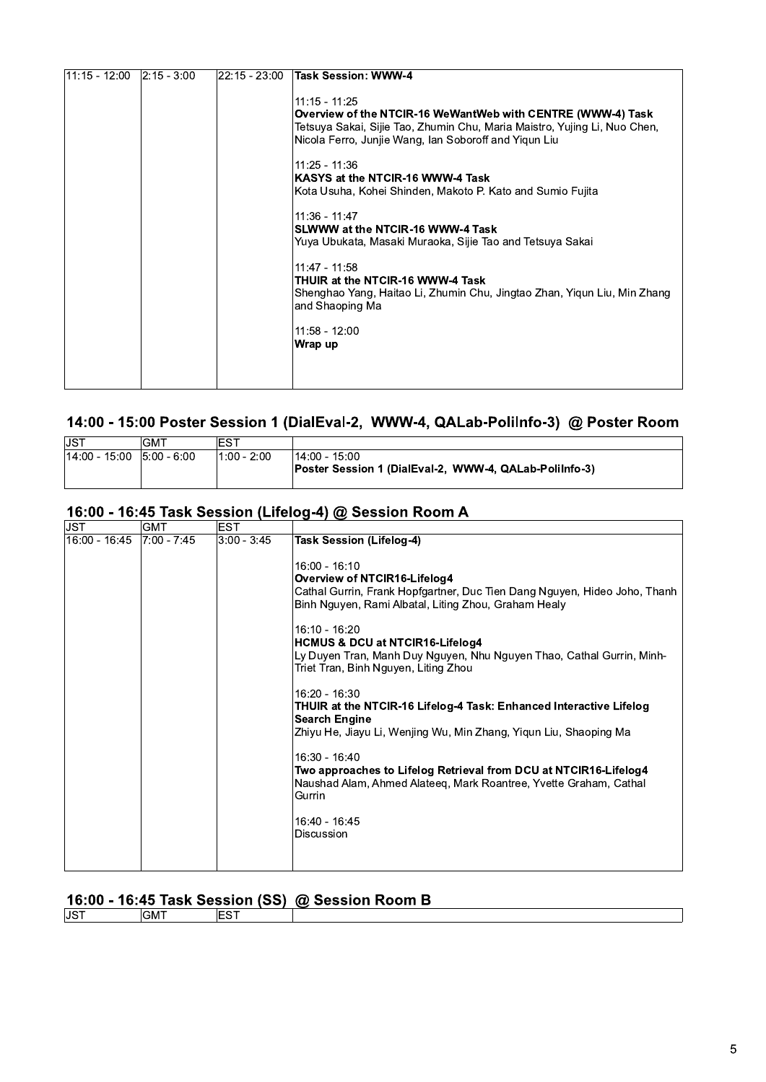| 11:15 - 12:00 | $ 2:15 - 3:00 $ | 22:15 - 23:00 | Task Session: WWW-4                                                                                                                                                                                                                                                                                                                                                                                                                                                                                                                                                                                           |
|---------------|-----------------|---------------|---------------------------------------------------------------------------------------------------------------------------------------------------------------------------------------------------------------------------------------------------------------------------------------------------------------------------------------------------------------------------------------------------------------------------------------------------------------------------------------------------------------------------------------------------------------------------------------------------------------|
|               |                 |               | $11:15 - 11:25$<br>Overview of the NTCIR-16 WeWantWeb with CENTRE (WWW-4) Task<br>Tetsuya Sakai, Sijie Tao, Zhumin Chu, Maria Maistro, Yujing Li, Nuo Chen,<br>Nicola Ferro, Junjie Wang, Ian Soboroff and Yigun Liu<br>11:25 - 11:36<br>KASYS at the NTCIR-16 WWW-4 Task<br>Kota Usuha, Kohei Shinden, Makoto P. Kato and Sumio Fujita<br>11:36 - 11:47<br>SLWWW at the NTCIR-16 WWW-4 Task<br>Yuya Ubukata, Masaki Muraoka, Sijie Tao and Tetsuya Sakai<br>11:47 - 11:58<br>THUIR at the NTCIR-16 WWW-4 Task<br>Shenghao Yang, Haitao Li, Zhumin Chu, Jingtao Zhan, Yigun Liu, Min Zhang<br>and Shaoping Ma |
|               |                 |               | 11:58 - 12:00<br>Wrap up                                                                                                                                                                                                                                                                                                                                                                                                                                                                                                                                                                                      |
|               |                 |               |                                                                                                                                                                                                                                                                                                                                                                                                                                                                                                                                                                                                               |

## 14:00 - 15:00 Poster Session 1 (DialEval-2, WWW-4, QALab-PoliInfo-3) @ Poster Room

| JST                         | ⊥GMT | EST                        |                                                                         |
|-----------------------------|------|----------------------------|-------------------------------------------------------------------------|
| $14:00 - 15:00$ 5:00 - 6:00 |      | <sup>∖</sup> 1:00 - 2:00 · | 14:00 - 15:00<br>Poster Session 1 (DialEval-2, WWW-4, QALab-Polilnfo-3) |

#### 16:00 - 16:45 Task Session (Lifelog-4) @ Session Room A

| ∣JST<br>16:00 - 16:45 | GMT<br>7:00 - 7:45 | EST<br>$3:00 - 3:45$ | <b>Task Session (Lifelog-4)</b><br>16:00 - 16:10<br>Overview of NTCIR16-Lifelog4<br>Cathal Gurrin, Frank Hopfgartner, Duc Tien Dang Nguyen, Hideo Joho, Thanh<br>Binh Nguyen, Rami Albatal, Liting Zhou, Graham Healy<br>16:10 - 16:20                                                                                                                                                                                                                                                                                                             |
|-----------------------|--------------------|----------------------|----------------------------------------------------------------------------------------------------------------------------------------------------------------------------------------------------------------------------------------------------------------------------------------------------------------------------------------------------------------------------------------------------------------------------------------------------------------------------------------------------------------------------------------------------|
|                       |                    |                      | <b>HCMUS &amp; DCU at NTCIR16-Lifelog4</b><br>Ly Duyen Tran, Manh Duy Nguyen, Nhu Nguyen Thao, Cathal Gurrin, Minh-<br>Triet Tran, Binh Nguyen, Liting Zhou<br>16:20 - 16:30<br>THUIR at the NTCIR-16 Lifelog-4 Task: Enhanced Interactive Lifelog<br><b>Search Engine</b><br>Zhiyu He, Jiayu Li, Wenjing Wu, Min Zhang, Yigun Liu, Shaoping Ma<br>16:30 - 16:40<br>Two approaches to Lifelog Retrieval from DCU at NTCIR16-Lifelog4<br>Naushad Alam, Ahmed Alateeg, Mark Roantree, Yvette Graham, Cathal<br>Gurrin<br>16:40 - 16:45<br>Discussion |

## 16:00 - 16:45 Task Session (SS) @ Session Room B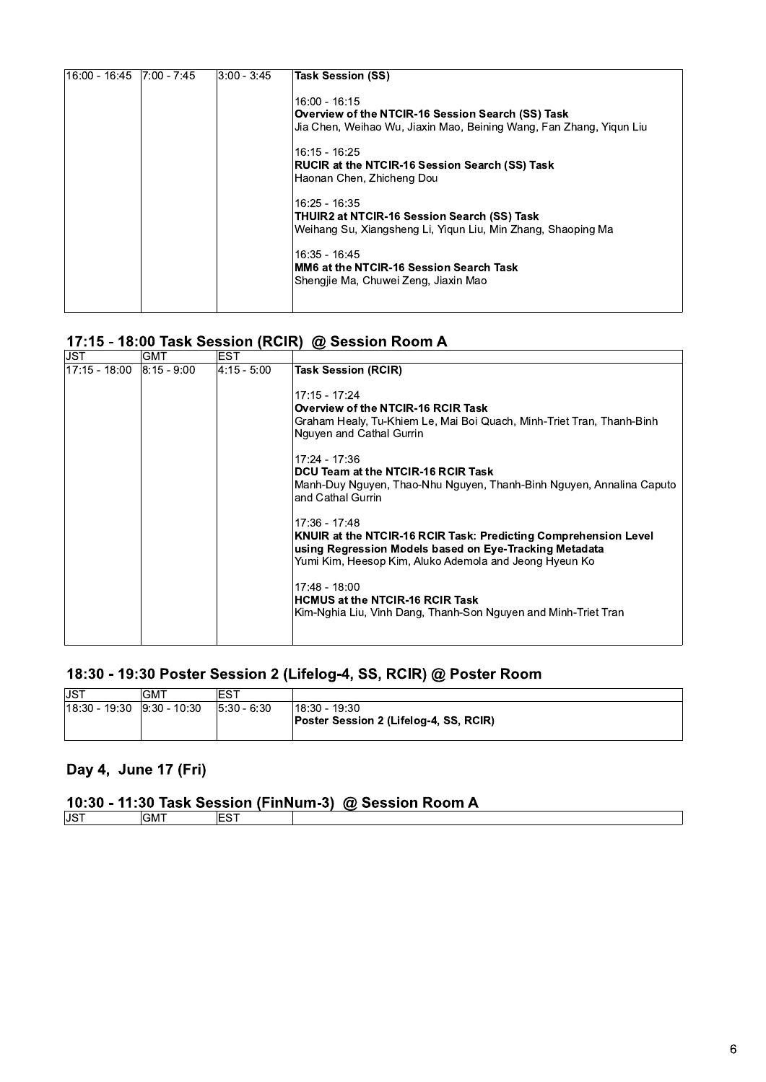| 16:00 - 16:45  7:00 - 7:45 | $ 3:00 - 3:45 $ | <b>Task Session (SS)</b>                                            |
|----------------------------|-----------------|---------------------------------------------------------------------|
|                            |                 | 16:00 - 16:15<br>Overview of the NTCIR-16 Session Search (SS) Task  |
|                            |                 | Jia Chen, Weihao Wu, Jiaxin Mao, Beining Wang, Fan Zhang, Yigun Liu |
|                            |                 | $16:15 - 16:25$                                                     |
|                            |                 | <b>RUCIR at the NTCIR-16 Session Search (SS) Task</b>               |
|                            |                 | Haonan Chen, Zhicheng Dou                                           |
|                            |                 | 16:25 - 16:35                                                       |
|                            |                 | THUIR2 at NTCIR-16 Session Search (SS) Task                         |
|                            |                 | Weihang Su, Xiangsheng Li, Yigun Liu, Min Zhang, Shaoping Ma        |
|                            |                 | 16.35 - 16.45                                                       |
|                            |                 | MM6 at the NTCIR-16 Session Search Task                             |
|                            |                 | Shengjie Ma, Chuwei Zeng, Jiaxin Mao                                |
|                            |                 |                                                                     |
|                            |                 |                                                                     |

## 17:15 - 18:00 Task Session (RCIR) @ Session Room A

| JST           | GM I            | ES I        |                                                                                                                                                                                                                                                                                                                                                                                                                                |
|---------------|-----------------|-------------|--------------------------------------------------------------------------------------------------------------------------------------------------------------------------------------------------------------------------------------------------------------------------------------------------------------------------------------------------------------------------------------------------------------------------------|
| 17:15 - 18:00 | $ 8:15 - 9:00 $ | 4:15 - 5:00 | <b>Task Session (RCIR)</b><br>17:15 17:24<br>Overview of the NTCIR-16 RCIR Task<br>Graham Healy, Tu-Khiem Le, Mai Boi Quach, Minh-Triet Tran, Thanh-Binh<br>Nguyen and Cathal Gurrin<br>17:24 - 17:36<br>DCU Team at the NTCIR-16 RCIR Task                                                                                                                                                                                    |
|               |                 |             | Manh-Duy Nguyen, Thao-Nhu Nguyen, Thanh-Binh Nguyen, Annalina Caputo<br>and Cathal Gurrin<br>17:36 - 17:48<br>KNUIR at the NTCIR-16 RCIR Task: Predicting Comprehension Level<br>using Regression Models based on Eye-Tracking Metadata<br>Yumi Kim, Heesop Kim, Aluko Ademola and Jeong Hyeun Ko<br>17:48 - 18:00<br><b>HCMUS at the NTCIR-16 RCIR Task</b><br>Kim-Nghia Liu, Vinh Dang, Thanh-Son Nguyen and Minh-Triet Tran |

## 18:30 - 19:30 Poster Session 2 (Lifelog-4, SS, RCIR) @ Poster Room

| <b>IJST</b>                 | <b>GMT</b> | EST             |                                                       |
|-----------------------------|------------|-----------------|-------------------------------------------------------|
| 18:30 - 19:30  9:30 - 10:30 |            | $ 5:30 - 6:30 $ | 18:30 19:30<br>Poster Session 2 (Lifelog-4, SS, RCIR) |
|                             |            |                 |                                                       |

#### Day 4, June 17 (Fri)

#### 10:30 - 11:30 Task Session (FinNum-3) @ Session Room A

| וויטטו ווטפאסט שין נייווויזיוו וויטופאסט אפאז טטוויז דעריטו |       |  |  |  |  |  |
|-------------------------------------------------------------|-------|--|--|--|--|--|
| JST.                                                        | - IVI |  |  |  |  |  |
|                                                             |       |  |  |  |  |  |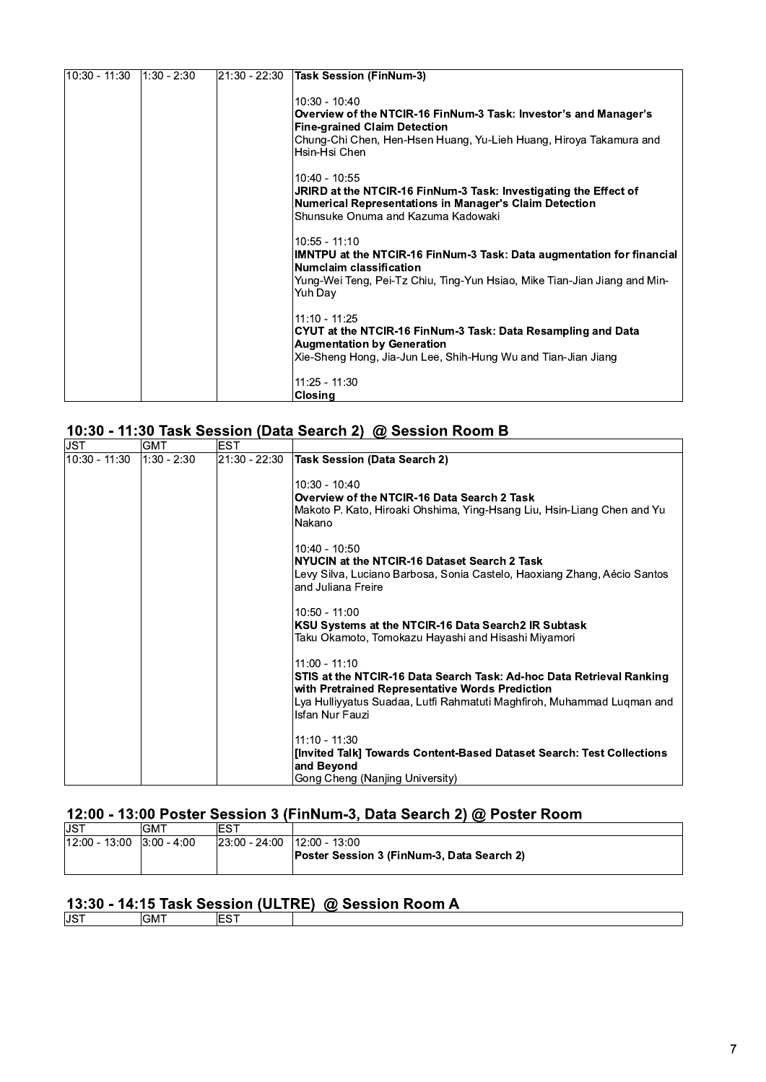| $10:30 - 11:30$ | $1:30 - 2:30$ | 21:30 - 22:30 | <b>Task Session (FinNum-3)</b>                                                                                                                                                                                    |
|-----------------|---------------|---------------|-------------------------------------------------------------------------------------------------------------------------------------------------------------------------------------------------------------------|
|                 |               |               | $10:30 - 10:40$<br>Overview of the NTCIR-16 FinNum-3 Task: Investor's and Manager's<br><b>Fine-grained Claim Detection</b><br>Chung-Chi Chen, Hen-Hsen Huang, Yu-Lieh Huang, Hiroya Takamura and<br>Hsin-Hsi Chen |
|                 |               |               | 10.40 - 10.55<br>JRIRD at the NTCIR-16 FinNum-3 Task: Investigating the Effect of<br>Numerical Representations in Manager's Claim Detection<br>Shunsuke Onuma and Kazuma Kadowaki                                 |
|                 |               |               | $10:55 - 11:10$<br>IMNTPU at the NTCIR-16 FinNum-3 Task: Data augmentation for financial<br>Numclaim classification<br>Yung-Wei Teng, Pei-Tz Chiu, Ting-Yun Hsiao, Mike Tian-Jian Jiang and Min-<br>Yuh Day       |
|                 |               |               | 11:10 - 11:25<br>CYUT at the NTCIR-16 FinNum-3 Task: Data Resampling and Data<br><b>Augmentation by Generation</b><br>Xie-Sheng Hong, Jia-Jun Lee, Shih-Hung Wu and Tian-Jian Jiang                               |
|                 |               |               | $11:25 - 11:30$<br><b>Closing</b>                                                                                                                                                                                 |

#### 10:30 - 11:30 Task Session (Data Search 2) @ Session Room B

| IJST           | GMT         | EST           |                                                                                                                         |
|----------------|-------------|---------------|-------------------------------------------------------------------------------------------------------------------------|
| l10:30 - 11:30 | 1:30 - 2:30 | 21:30 - 22:30 | <b>Task Session (Data Search 2)</b>                                                                                     |
|                |             |               | $10:30 - 10:40$                                                                                                         |
|                |             |               | Overview of the NTCIR-16 Data Search 2 Task                                                                             |
|                |             |               | Makoto P. Kato, Hiroaki Ohshima, Ying-Hsang Liu, Hsin-Liang Chen and Yu                                                 |
|                |             |               | Nakano                                                                                                                  |
|                |             |               | $10:40 - 10:50$                                                                                                         |
|                |             |               | NYUCIN at the NTCIR-16 Dataset Search 2 Task                                                                            |
|                |             |               | Levy Silva, Luciano Barbosa, Sonia Castelo, Haoxiang Zhang, Aécio Santos<br>and Juliana Freire                          |
|                |             |               | $10:50 - 11:00$                                                                                                         |
|                |             |               | KSU Systems at the NTCIR-16 Data Search2 IR Subtask                                                                     |
|                |             |               | Taku Okamoto, Tomokazu Hayashi and Hisashi Miyamori                                                                     |
|                |             |               | $11:00 - 11:10$                                                                                                         |
|                |             |               | STIS at the NTCIR-16 Data Search Task: Ad-hoc Data Retrieval Ranking<br>with Pretrained Representative Words Prediction |
|                |             |               | Lya Hulliyyatus Suadaa, Lutfi Rahmatuti Maghfiroh, Muhammad Lugman and                                                  |
|                |             |               | Isfan Nur Fauzi                                                                                                         |
|                |             |               | $11:10 - 11:30$                                                                                                         |
|                |             |               | [Invited Talk] Towards Content-Based Dataset Search: Test Collections                                                   |
|                |             |               | and Beyond                                                                                                              |
|                |             |               | Gong Cheng (Nanjing University)                                                                                         |

# 12:00 - 13:00 Poster Session 3 (FinNum-3, Data Search 2) @ Poster Room

| IJS"                        | GM1 | ≀ES™                                |                                            |
|-----------------------------|-----|-------------------------------------|--------------------------------------------|
| $12:00 - 13:00$ 3:00 - 4:00 |     | $ 23.00 - 24.00 $ $ 12.00 - 13.00 $ |                                            |
|                             |     |                                     | Poster Session 3 (FinNum-3, Data Search 2) |
|                             |     |                                     |                                            |

#### 13:30 - 14:15 Task Session (ULTRE) @ Session Room A

| M |  |
|---|--|
|   |  |